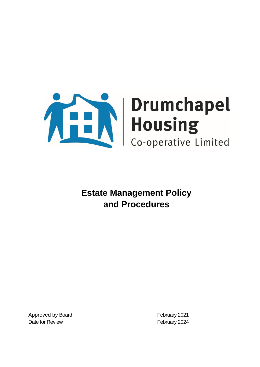

Approved by Board **February 2021** Date for Review **February 2024**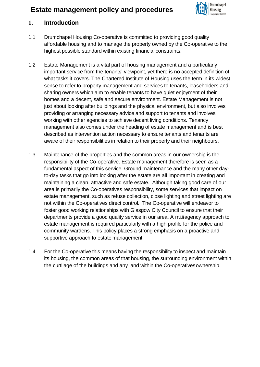

### **1. Introduction**

- 1.1 Drumchapel Housing Co-operative is committed to providing good quality affordable housing and to manage the property owned by the Co-operative to the highest possible standard within existing financial constraints.
- 1.2 Estate Management is a vital part of housing management and a particularly important service from the tenants' viewpoint, yet there is no accepted definition of what tasks it covers. The Chartered Institute of Housing uses the term in its widest sense to refer to property management and services to tenants, leaseholders and sharing owners which aim to enable tenants to have quiet enjoyment of their homes and a decent, safe and secure environment. Estate Management is not just about looking after buildings and the physical environment, but also involves providing or arranging necessary advice and support to tenants and involves working with other agencies to achieve decent living conditions. Tenancy management also comes under the heading of estate management and is best described as intervention action necessary to ensure tenants and tenants are aware of their responsibilities in relation to their property and their neighbours.
- 1.3 Maintenance of the properties and the common areas in our ownership is the responsibility of the Co-operative. Estate management therefore is seen as a fundamental aspect of this service. Ground maintenance and the many other dayto-day tasks that go into looking after the estate are all important in creating and maintaining a clean, attractive and safe estate. Although taking good care of our area is primarily the Co-operatives responsibility, some services that impact on estate management, such as refuse collection, close lighting and street lighting are not within the Co-operatives direct control. The Co-operative will endeavor to foster good working relationships with Glasgow City Council to ensure that their departments provide a good quality service in our area. A mulhagency approach to estate management is required particularly with a high profile for the police and community wardens. This policy places a strong emphasis on a proactive and supportive approach to estate management.
- 1.4 For the Co-operative this means having the responsibility to inspect and maintain its housing, the common areas of that housing, the surrounding environment within the curtilage of the buildings and any land within the Co-operativesownership.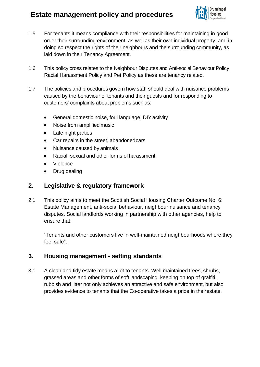

- 1.5 For tenants it means compliance with their responsibilities for maintaining in good order their surrounding environment, as well as their own individual property, and in doing so respect the rights of their neighbours and the surrounding community, as laid down in their Tenancy Agreement.
- 1.6 This policy cross relates to the Neighbour Disputes and Anti-social Behaviour Policy, Racial Harassment Policy and Pet Policy as these are tenancy related.
- 1.7 The policies and procedures govern how staff should deal with nuisance problems caused by the behaviour of tenants and their guests and for responding to customers' complaints about problems such as:
	- General domestic noise, foul language, DIY activity
	- Noise from amplified music
	- Late night parties
	- Car repairs in the street, abandonedcars
	- Nuisance caused by animals
	- Racial, sexual and other forms of harassment
	- Violence
	- Drug dealing

### **2. Legislative & regulatory framework**

2.1 This policy aims to meet the Scottish Social Housing Charter Outcome No. 6: Estate Management, anti-social behaviour, neighbour nuisance and tenancy disputes. Social landlords working in partnership with other agencies, help to ensure that:

"Tenants and other customers live in well-maintained neighbourhoods where they feel safe".

### **3. Housing management - setting standards**

3.1 A clean and tidy estate means a lot to tenants. Well maintained trees, shrubs, grassed areas and other forms of soft landscaping, keeping on top of graffiti, rubbish and litter not only achieves an attractive and safe environment, but also provides evidence to tenants that the Co-operative takes a pride in theirestate.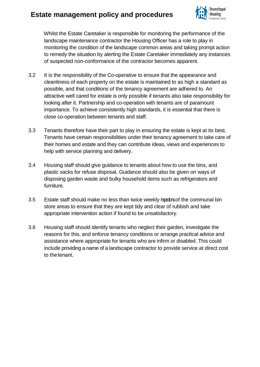

Whilst the Estate Caretaker is responsible for monitoring the performance of the landscape maintenance contractor the Housing Officer has a role to play in monitoring the condition of the landscape common areas and taking prompt action to remedy the situation by alerting the Estate Caretaker immediately any instances of suspected non-conformance of the contractor becomes apparent.

- 3.2 It is the responsibility of the Co-operative to ensure that the appearance and cleanliness of each property on the estate is maintained to as high a standard as possible, and that conditions of the tenancy agreement are adhered to. An attractive well cared for estate is only possible if tenants also take responsibility for looking after it. Partnership and co-operation with tenants are of paramount importance. To achieve consistently high standards, it is essential that there is close co-operation between tenants and staff.
- 3.3 Tenants therefore have their part to play in ensuring the estate is kept at its best. Tenants have certain responsibilities under their tenancy agreement to take care of their homes and estate and they can contribute ideas, views and experiences to help with service planning and delivery.
- 3.4 Housing staff should give guidance to tenants about how to use the bins, and plastic sacks for refuse disposal. Guidance should also be given on ways of disposing garden waste and bulky household items such as refrigerators and furniture.
- 3.5 Estate staff should make no less than twice weekly repedents of the communal bin store areas to ensure that they are kept tidy and clear of rubbish and take appropriate intervention action if found to be unsatisfactory.
- 3.6 Housing staff should identify tenants who neglect their garden, investigate the reasons for this, and enforce tenancy conditions or arrange practical advice and assistance where appropriate for tenants who are infirm or disabled. This could include providing a name of a landscape contractor to provide service at direct cost to the tenant.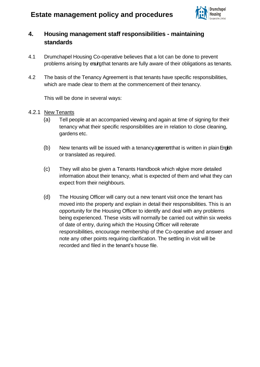

## **4. Housing management staff responsibilities - maintaining standards**

- 4.1 Drumchapel Housing Co-operative believes that a lot can be done to prevent problems arising by ensigithat tenants are fully aware of their obligations as tenants.
- 4.2 The basis of the Tenancy Agreement is that tenants have specific responsibilities, which are made clear to them at the commencement of their tenancy.

This will be done in several ways:

- 4.2.1 New Tenants
	- (a) Tell people at an accompanied viewing and again at time of signing for their tenancy what their specific responsibilities are in relation to close cleaning, gardens etc.
	- $(b)$  New tenants will be issued with a tenancy agreement that is written in plain English or translated as required.
	- (c) They will also be given a Tenants Handbook which wigive more detailed information about their tenancy, what is expected of them and what they can expect from their neighbours.
	- (d) The Housing Officer will carry out a new tenant visit once the tenant has moved into the property and explain in detail their responsibilities. This is an opportunity for the Housing Officer to identify and deal with any problems being experienced. These visits will normally be carried out within six weeks of date of entry, during which the Housing Officer will reiterate responsibilities, encourage membership of the Co-operative and answer and note any other points requiring clarification. The settling in visit will be recorded and filed in the tenant's house file.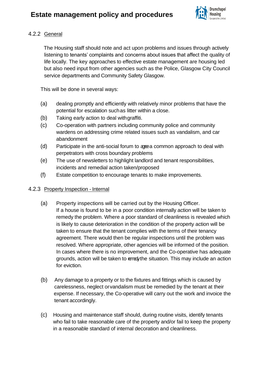

### 4.2.2 General

The Housing staff should note and act upon problems and issues through actively listening to tenants' complaints and concerns about issues that affect the quality of life locally. The key approaches to effective estate management are housing led but also need input from other agencies such as the Police, Glasgow City Council service departments and Community Safety Glasgow.

This will be done in several ways:

- (a) dealing promptly and efficiently with relatively minor problems that have the potential for escalation suchas litter within a close.
- (b) Taking early action to deal withgraffiti.
- (c) Co-operation with partners including community police and community wardens on addressing crime related issues such as vandalism, and car abandonment
- (d) Participate in the anti-social forum to agreea common approach to deal with perpetrators with cross boundary problems
- (e) The use of newsletters to highlight landlord and tenant responsibilities, incidents and remedial action taken/proposed
- (f) Estate competition to encourage tenants to make improvements.

#### 4.2.3 Property Inspection - Internal

- (a) Property inspections will be carried out by the Housing Officer. If a house is found to be in a poor condition internally action will be taken to remedy the problem. Where a poor standard of cleanliness is revealed which is likely to cause deterioration in the condition of the property action will be taken to ensure that the tenant complies with the terms of their tenancy agreement. There would then be regular inspections until the problem was resolved. Where appropriate, other agencies will be informed of the position. In cases where there is no improvement, and the Co-operative has adequate grounds, action will be taken to remedy the situation. This may include an action for eviction.
- (b) Any damage to a property or to the fixtures and fittings which is caused by carelessness, neglect orvandalism must be remedied by the tenant at their expense. If necessary, the Co-operative will carry out the work and invoice the tenant accordingly.
- (c) Housing and maintenance staff should, during routine visits, identify tenants who fail to take reasonable care of the property and/or fail to keep the property in a reasonable standard of internal decoration and cleanliness.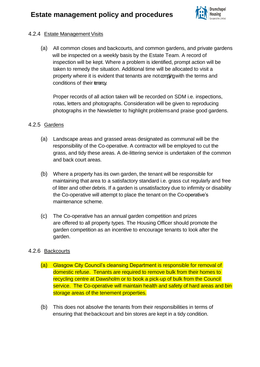

#### 4.2.4 Estate Management Visits

(a) All common closes and backcourts, and common gardens, and private gardens will be inspected on a weekly basis by the Estate Team. A record of inspection will be kept. Where a problem is identified, prompt action will be taken to remedy the situation. Additional time will be allocated to visit a property where it is evident that tenants are not ampligation the terms and conditions of their tenancy.

Proper records of all action taken will be recorded on SDM i.e. inspections, rotas, letters and photographs. Consideration will be given to reproducing photographs in the Newsletter to highlight problemsand praise good gardens.

### 4.2.5 Gardens

- (a) Landscape areas and grassed areas designated as communal will be the responsibility of the Co-operative. A contractor will be employed to cut the grass, and tidy these areas. A de-littering service is undertaken of the common and back court areas.
- (b) Where a property has its own garden, the tenant will be responsible for maintaining that area to a satisfactory standard i.e. grass cut regularly and free of litter and other debris. If a garden is unsatisfactory due to infirmity or disability the Co-operative will attempt to place the tenant on the Co-operative's maintenance scheme.
- (c) The Co-operative has an annual garden competition and prizes are offered to all property types. The Housing Officer should promote the garden competition as an incentive to encourage tenants to look after the garden.

### 4.2.6 Backcourts

- (a) Glasgow City Council's cleansing Department is responsible for removal of domestic refuse. Tenants are required to remove bulk from their homes to recycling centre at Dawsholm or to book a pick-up of bulk from the Council service. The Co-operative will maintain health and safety of hard areas and bin storage areas of the tenement properties.
- (b) This does not absolve the tenants from their responsibilities in terms of ensuring that thebackcourt and bin stores are kept in a tidy condition.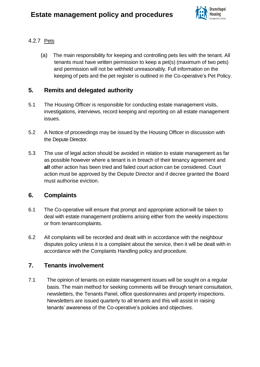

### 4.2.7 Pets

(a) The main responsibility for keeping and controlling pets lies with the tenant. All tenants must have written permission to keep a pet(s) (maximum of two pets) and permission will not be withheld unreasonably. Full information on the keeping of pets and the pet register is outlined in the Co-operative's Pet Policy.

## **5. Remits and delegated authority**

- 5.1 The Housing Officer is responsible for conducting estate management visits, investigations, interviews, record keeping and reporting on all estate management issues.
- 5.2 A Notice of proceedings may be issued by the Housing Officer in discussion with the Depute Director.
- 5.3 The use of legal action should be avoided in relation to estate management as far as possible however where a tenant is in breach of their tenancy agreement and **all** other action has been tried and failed court action can be considered. Court action must be approved by the Depute Director and if decree granted the Board must authorise eviction.

## **6. Complaints**

- 6.1 The Co-operative will ensure that prompt and appropriate actionwill be taken to deal with estate management problems arising either from the weekly inspections or from tenantcomplaints.
- 6.2 All complaints will be recorded and dealt with in accordance with the neighbour disputes policy unless it is a complaint about the service, then it will be dealt with in accordance with the Complaints Handling policy and procedure.

## **7. Tenants involvement**

7.1 The opinion of tenants on estate management issues will be sought on a regular basis. The main method for seeking comments will be through tenant consultation, newsletters, the Tenants Panel, office questionnaires and property inspections. Newsletters are issued quarterly to all tenants and this will assist in raising tenants' awareness of the Co-operative's policies and objectives.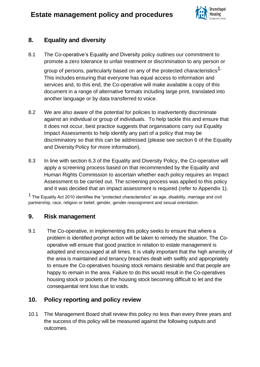

## **8. Equality and diversity**

8.1 The Co-operative's Equality and Diversity policy outlines our commitment to promote a zero tolerance to unfair treatment or discrimination to any person or

group of persons, particularly based on any of the protected characteristics<sup>1.</sup> This includes ensuring that everyone has equal access to information and services and, to this end, the Co-operative will make available a copy of this document in a range of alternative formats including large print, translated into another language or by data transferred to voice.

- 8.2 We are also aware of the potential for policies to inadvertently discriminate against an individual or group of individuals. To help tackle this and ensure that it does not occur, best practice suggests that organisations carry out Equality Impact Assessments to help identify any part of a policy that may be discriminatory so that this can be addressed (please see section 6 of the Equality and Diversity Policy for more information).
- 8.3 In line with section 6.3 of the Equality and Diversity Policy, the Co-operative will apply a screening process based on that recommended by the Equality and Human Rights Commission to ascertain whether each policy requires an Impact Assessment to be carried out. The screening process was applied to this policy and it was decided that an impact assessment is required (refer to Appendix 1).

 $1$  The Equality Act 2010 identifies the "protected characteristics" as age, disability, marriage and civil partnership, race, religion or belief, gender, gender reassignment and sexual orientation.

### **9. Risk management**

9.1 The Co-operative, in implementing this policy seeks to ensure that where a problem is identified prompt action will be taken to remedy the situation. The Cooperative will ensure that good practice in relation to estate management is adopted and encouraged at all times. It is vitally important that the high amenity of the area is maintained and tenancy breaches dealt with swiftly and appropriately to ensure the Co-operatives housing stock remains desirable and that people are happy to remain in the area. Failure to do this would result in the Co-operatives housing stock or pockets of the housing stock becoming difficult to let and the consequential rent loss due to voids.

## **10. Policy reporting and policy review**

10.1 The Management Board shall review this policy no less than every three years and the success of this policy will be measured against the following outputs and outcomes.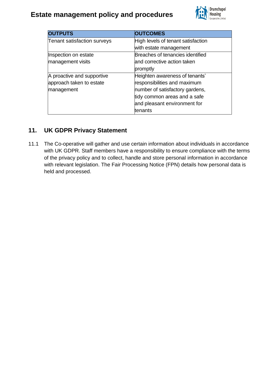

| <b>OUTPUTS</b>              | <b>OUTCOMES</b>                    |
|-----------------------------|------------------------------------|
| Tenant satisfaction surveys | High levels of tenant satisfaction |
|                             | with estate management             |
| Inspection on estate        | Breaches of tenancies identified   |
| management visits           | and corrective action taken        |
|                             | promptly                           |
| A proactive and supportive  | Heighten awareness of tenants'     |
| approach taken to estate    | responsibilities and maximum       |
| management                  | number of satisfactory gardens,    |
|                             | tidy common areas and a safe       |
|                             | and pleasant environment for       |
|                             | ltenants                           |

## **11. UK GDPR Privacy Statement**

11.1 The Co-operative will gather and use certain information about individuals in accordance with UK GDPR. Staff members have a responsibility to ensure compliance with the terms of the privacy policy and to collect, handle and store personal information in accordance with relevant legislation. The Fair Processing Notice (FPN) details how personal data is held and processed.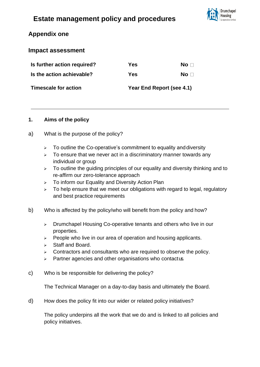

## **Appendix one**

### **Impact assessment**

| Is further action required? | Yes                       | No ⊟ |
|-----------------------------|---------------------------|------|
| Is the action achievable?   | Yes                       | No ⊟ |
| Timescale for action        | Year End Report (see 4.1) |      |

#### **1. Aims of the policy**

- a) What is the purpose of the policy?
	- $\geq$  To outline the Co-operative's commitment to equality and diversity
	- $\geq$  To ensure that we never act in a discriminatory manner towards any individual or group
	- ➢ To outline the guiding principles of our equality and diversity thinking and to re-affirm our zero-tolerance approach
	- ➢ To inform our Equality and Diversity Action Plan
	- $\geq$  To help ensure that we meet our obligations with regard to legal, regulatory and best practice requirements
- b) Who is affected by the policy/who will benefit from the policy and how?
	- ➢ Drumchapel Housing Co-operative tenants and others who live in our properties.
	- ➢ People who live in our area of operation and housing applicants.
	- ➢ Staff and Board.
	- $\triangleright$  Contractors and consultants who are required to observe the policy.
	- ➢ Partner agencies and other organisations who contactus.
- c) Who is be responsible for delivering the policy?

The Technical Manager on a day-to-day basis and ultimately the Board.

d) How does the policy fit into our wider or related policy initiatives?

The policy underpins all the work that we do and is linked to all policies and policy initiatives.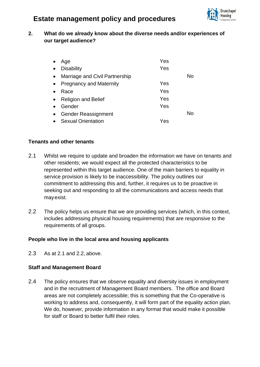

### **2. What do we already know about the diverse needs and/or experiences of our target audience?**

|           | Age                            | Yes |    |
|-----------|--------------------------------|-----|----|
| $\bullet$ | <b>Disability</b>              | Yes |    |
| $\bullet$ | Marriage and Civil Partnership |     | No |
| $\bullet$ | <b>Pregnancy and Maternity</b> | Yes |    |
|           | Race                           | Yes |    |
| $\bullet$ | <b>Religion and Belief</b>     | Yes |    |
|           | Gender                         | Yes |    |
| $\bullet$ | <b>Gender Reassignment</b>     |     | No |
|           | <b>Sexual Orientation</b>      | Yes |    |

#### **Tenants and other tenants**

- 2.1 Whilst we require to update and broaden the information we have on tenants and other residents; we would expect all the protected characteristics to be represented within this target audience. One of the main barriers to equality in service provision is likely to be inaccessibility. The policy outlines our commitment to addressing this and, further, it requires us to be proactive in seeking out and responding to all the communications and access needs that mayexist.
- 2.2 The policy helps us ensure that we are providing services (which, in this context, includes addressing physical housing requirements) that are responsive to the requirements of all groups.

#### **People who live in the local area and housing applicants**

2.3 As at 2.1 and 2.2, above.

### **Staff and Management Board**

2.4 The policy ensures that we observe equality and diversity issues in employment and in the recruitment of Management Board members. The office and Board areas are not completely accessible; this is something that the Co-operative is working to address and, consequently, it will form part of the equality action plan. We do, however, provide information in any format that would make it possible for staff or Board to better fulfil their roles.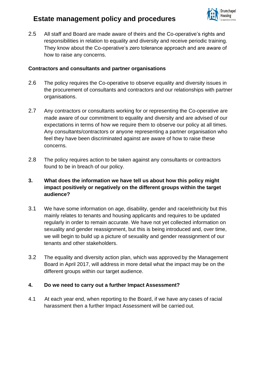

2.5 All staff and Board are made aware of theirs and the Co-operative's rights and responsibilities in relation to equality and diversity and receive periodic training. They know about the Co-operative's zero tolerance approach and are aware of how to raise any concerns.

#### **Contractors and consultants and partner organisations**

- 2.6 The policy requires the Co-operative to observe equality and diversity issues in the procurement of consultants and contractors and our relationships with partner organisations.
- 2.7 Any contractors or consultants working for or representing the Co-operative are made aware of our commitment to equality and diversity and are advised of our expectations in terms of how we require them to observe our policy at all times. Any consultants/contractors or anyone representing a partner organisation who feel they have been discriminated against are aware of how to raise these concerns.
- 2.8 The policy requires action to be taken against any consultants or contractors found to be in breach of our policy.

### **3. What does the information we have tell us about how this policy might impact positively or negatively on the different groups within the target audience?**

- 3.1 We have some information on age, disability, gender and race/ethnicity but this mainly relates to tenants and housing applicants and requires to be updated regularly in order to remain accurate. We have not yet collected information on sexuality and gender reassignment, but this is being introduced and, over time, we will begin to build up a picture of sexuality and gender reassignment of our tenants and other stakeholders.
- 3.2 The equality and diversity action plan, which was approved by the Management Board in April 2017, will address in more detail what the impact may be on the different groups within our target audience.

#### **4. Do we need to carry out a further Impact Assessment?**

4.1 At each year end, when reporting to the Board, if we have any cases of racial harassment then a further Impact Assessment will be carried out.